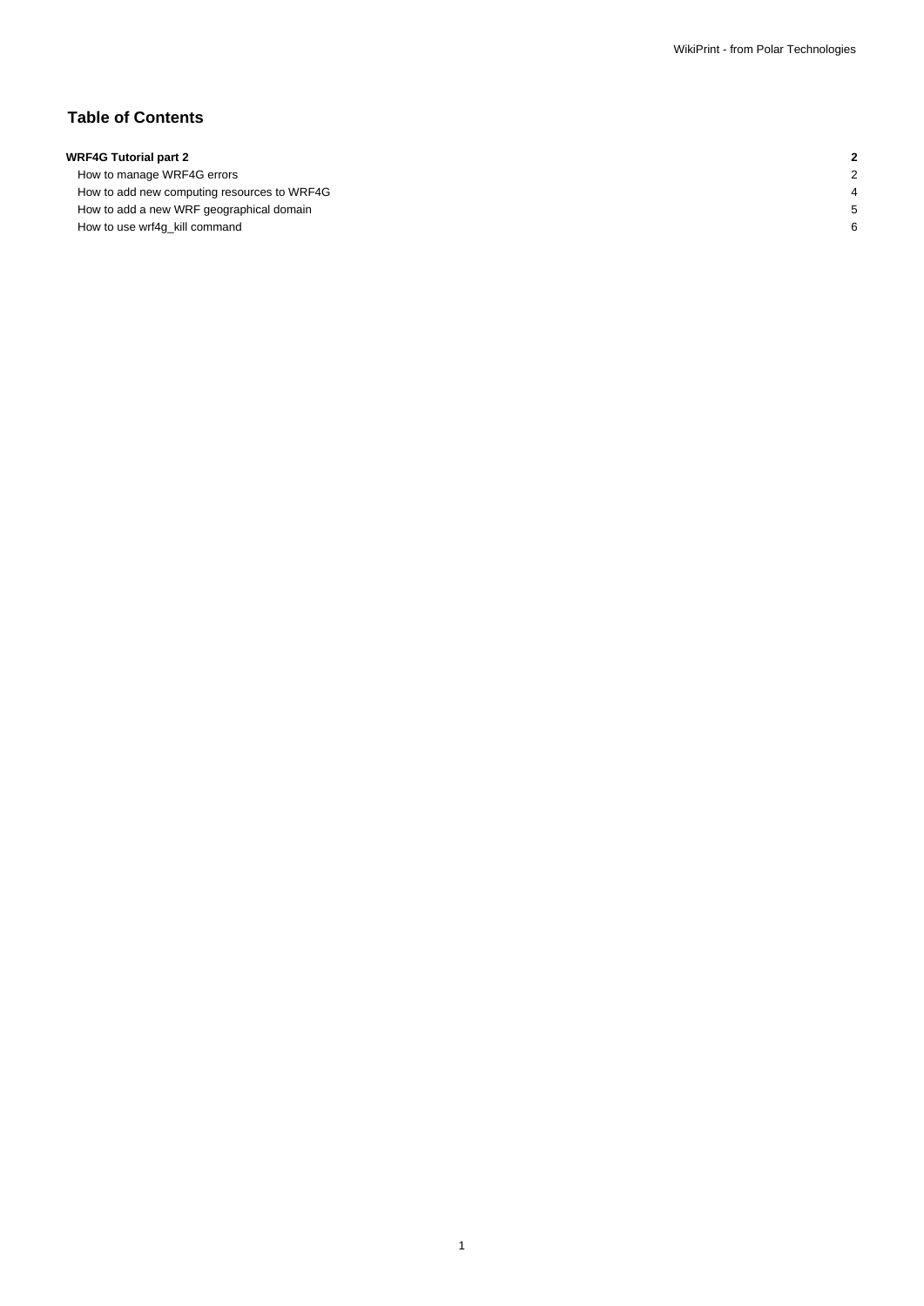# **Table of Contents**

| <b>WRF4G Tutorial part 2</b><br>the contract of the contract of the contract of the contract of the contract of the contract of the contract of |  |
|-------------------------------------------------------------------------------------------------------------------------------------------------|--|

How to manage WRF4G errors **2** 2 How to add new computing resources to WRF4G 4 4 How to add a new WRF geographical domain 5 How to use wrf4g\_kill command 6

1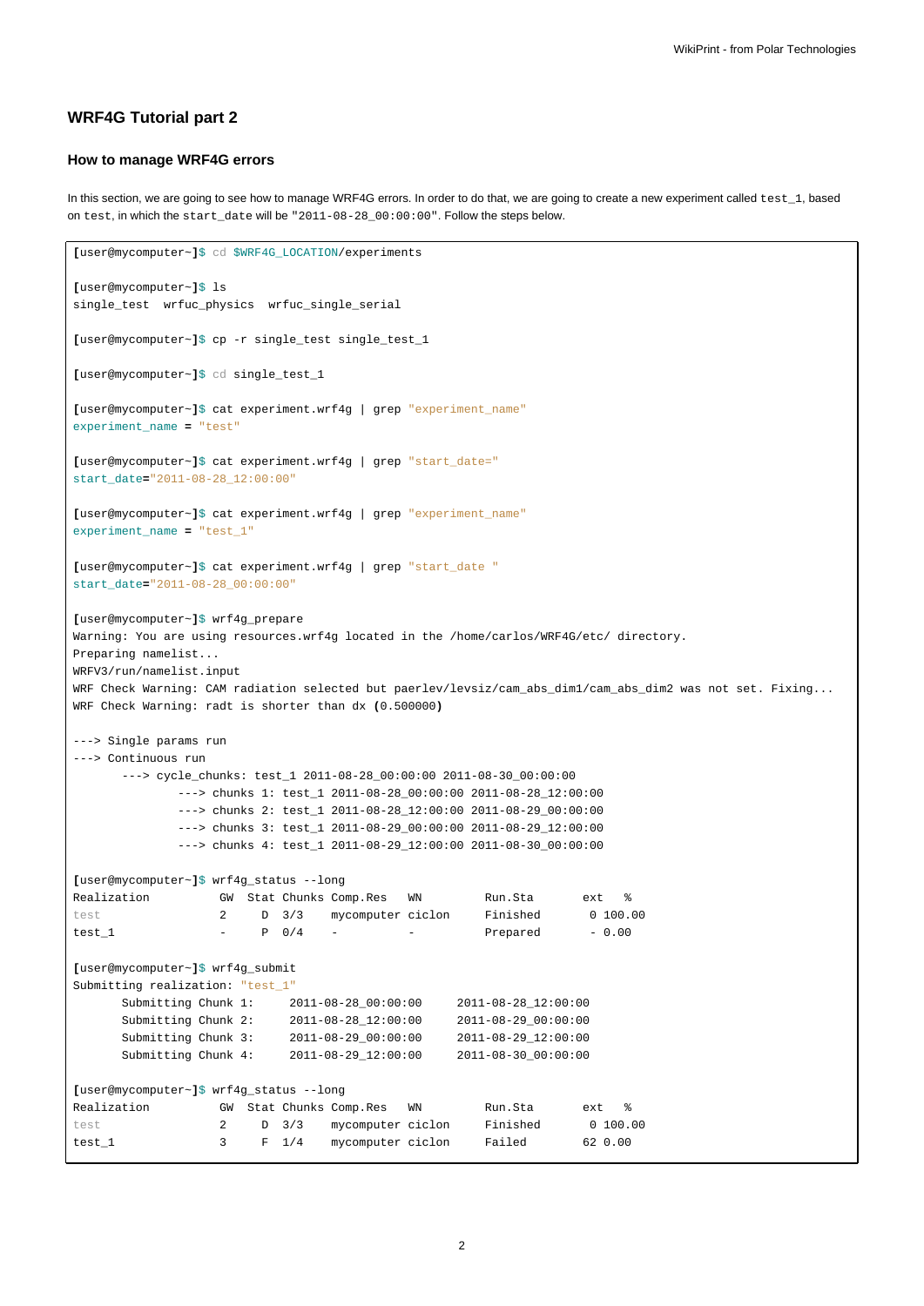## **WRF4G Tutorial part 2**

## **How to manage WRF4G errors**

In this section, we are going to see how to manage WRF4G errors. In order to do that, we are going to create a new experiment called test\_1, based on test, in which the start\_date will be "2011-08-28\_00:00:00". Follow the steps below.

```
[user@mycomputer~]$ cd $WRF4G_LOCATION/experiments
[user@mycomputer~]$ ls
single_test wrfuc_physics wrfuc_single_serial
[user@mycomputer~]$ cp -r single_test single_test_1
[user@mycomputer~]$ cd single_test_1
[user@mycomputer~]$ cat experiment.wrf4g | grep "experiment_name"
experiment_name = "test"
[user@mycomputer~]$ cat experiment.wrf4g | grep "start_date="
start_date="2011-08-28_12:00:00"
[user@mycomputer~]$ cat experiment.wrf4g | grep "experiment_name"
experiment_name = "test_1"
[user@mycomputer~]$ cat experiment.wrf4g | grep "start_date "
start_date="2011-08-28_00:00:00"
[user@mycomputer~]$ wrf4g_prepare
Warning: You are using resources.wrf4g located in the /home/carlos/WRF4G/etc/ directory.
Preparing namelist...
WRFV3/run/namelist.input
WRF Check Warning: CAM radiation selected but paerlev/levsiz/cam_abs_dim1/cam_abs_dim2 was not set. Fixing...
WRF Check Warning: radt is shorter than dx (0.500000)
---> Single params run
---> Continuous run
      ---> cycle chunks: test 1 2011-08-28 00:00:00 2011-08-30 00:00:00
             ---> chunks 1: test_1 2011-08-28_00:00:00 2011-08-28_12:00:00
             ---> chunks 2: test_1 2011-08-28_12:00:00 2011-08-29_00:00:00
             ---> chunks 3: test_1 2011-08-29_00:00:00 2011-08-29_12:00:00
             ---> chunks 4: test 1 2011-08-29 12:00:00 2011-08-30 00:00:00
[user@mycomputer~]$ wrf4g_status --long
Realization GW Stat Chunks Comp.Res WN Run.Sta ext \frac{1}{8}test 2 D 3/3 mycomputer ciclon Finished 0 100.00
test_1 - P 0/4 - - Prepared - 0.00
[user@mycomputer~]$ wrf4g_submit
Submitting realization: "test_1"
      Submitting Chunk 1: 2011-08-28_00:00:00 2011-08-28_12:00:00
      Submitting Chunk 2: 2011-08-28_12:00:00 2011-08-29_00:00:00
      Submitting Chunk 3: 2011-08-29_00:00:00 2011-08-29_12:00:00
      Submitting Chunk 4: 2011-08-29_12:00:00 2011-08-30_00:00:00
[user@mycomputer~]$ wrf4g_status --long
Realization GW Stat Chunks Comp.Res WN Run.Sta ext %
test 2 D 3/3 mycomputer ciclon Finished 0 100.00
test_1 3 F 1/4 mycomputer ciclon Failed 62 0.00
```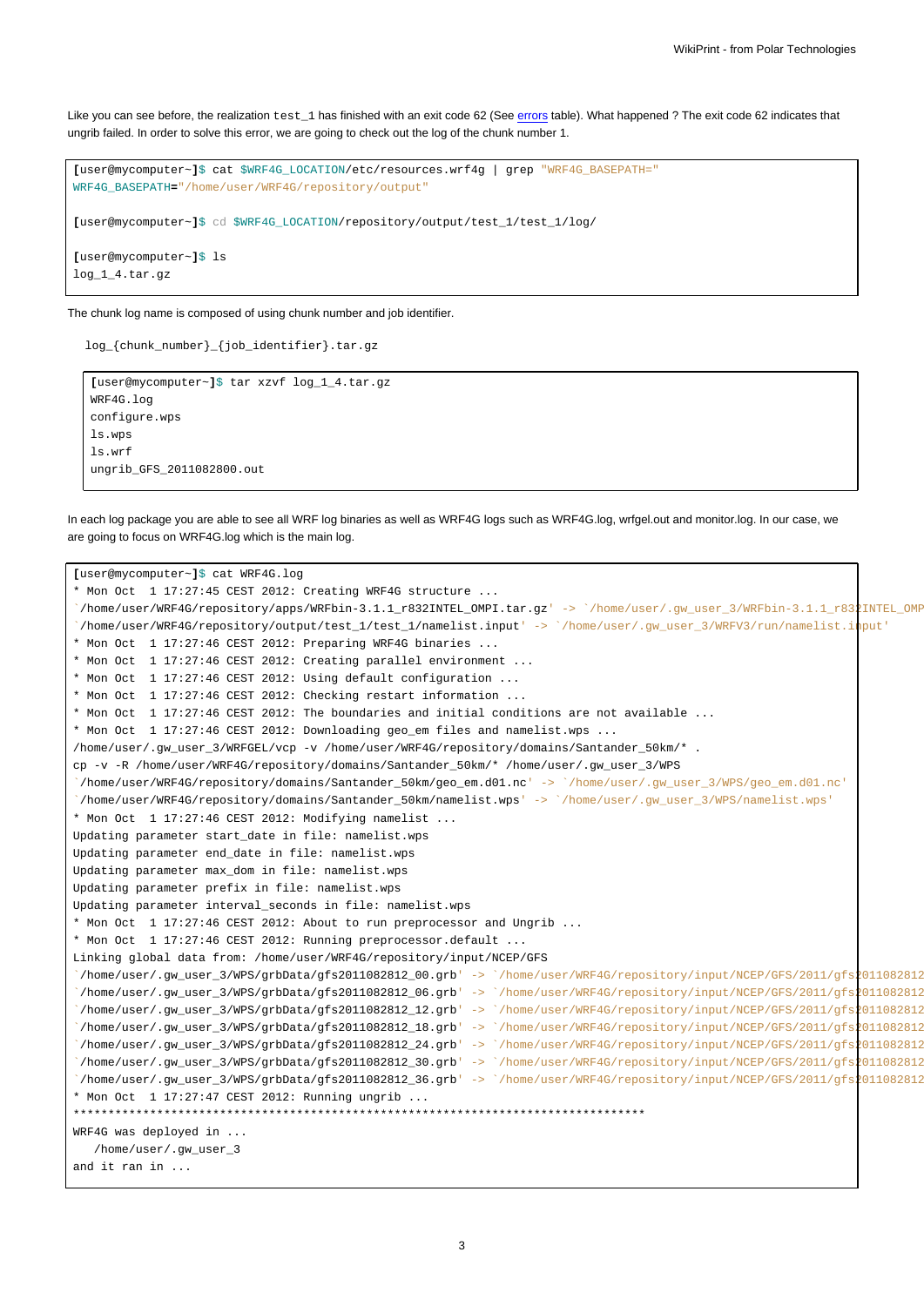Like you can see before, the realization test\_1 has finished with an exit code 62 (See [errors](https://meteo.unican.es/trac/wiki/WRF4GErrors) table). What happened ? The exit code 62 indicates that ungrib failed. In order to solve this error, we are going to check out the log of the chunk number 1.

```
[user@mycomputer~]$ cat $WRF4G_LOCATION/etc/resources.wrf4g | grep "WRF4G_BASEPATH="
WRF4G_BASEPATH="/home/user/WRF4G/repository/output"
[user@mycomputer~]$ cd $WRF4G_LOCATION/repository/output/test_1/test_1/log/
[user@mycomputer~]$ ls
log_1_4.tar.gz
```
The chunk log name is composed of using chunk number and job identifier.

log\_{chunk\_number}\_{job\_identifier}.tar.gz

**[**user@mycomputer~**]**\$ tar xzvf log\_1\_4.tar.gz WRF4G.log configure.wps ls.wps ls.wrf ungrib\_GFS\_2011082800.out

In each log package you are able to see all WRF log binaries as well as WRF4G logs such as WRF4G.log, wrfgel.out and monitor.log. In our case, we are going to focus on WRF4G.log which is the main log.

```
[user@mycomputer~]$ cat WRF4G.log
* Mon Oct 1 17:27:45 CEST 2012: Creating WRF4G structure ...
`/home/user/WRF4G/repository/apps/WRFbin-3.1.1_r832INTEL_OMPI.tar.gz' -> `/home/user/.gw_user_3/WRFbin-3.1.1_r832INTEL_OMPI.tar.gz'
`/home/user/WRF4G/repository/output/test_1/test_1/namelist.input' -> `/home/user/.gw_user_3/WRFV3/run/namelist.input'
* Mon Oct 1 17:27:46 CEST 2012: Preparing WRF4G binaries ...
* Mon Oct 1 17:27:46 CEST 2012: Creating parallel environment ...
* Mon Oct 1 17:27:46 CEST 2012: Using default configuration ...
* Mon Oct 1 17:27:46 CEST 2012: Checking restart information ...
* Mon Oct 1 17:27:46 CEST 2012: The boundaries and initial conditions are not available ...
* Mon Oct 1 17:27:46 CEST 2012: Downloading geo_em files and namelist.wps ...
/home/user/.gw_user_3/WRFGEL/vcp -v /home/user/WRF4G/repository/domains/Santander_50km/* .
cp -v -R /home/user/WRF4G/repository/domains/Santander_50km/* /home/user/.gw_user_3/WPS
`/home/user/WRF4G/repository/domains/Santander_50km/geo_em.d01.nc' -> `/home/user/.gw_user_3/WPS/geo_em.d01.nc'
`/home/user/WRF4G/repository/domains/Santander_50km/namelist.wps' -> `/home/user/.gw_user_3/WPS/namelist.wps'
* Mon Oct 1 17:27:46 CEST 2012: Modifying namelist ...
Updating parameter start_date in file: namelist.wps
Updating parameter end_date in file: namelist.wps
Updating parameter max_dom in file: namelist.wps
Updating parameter prefix in file: namelist.wps
Updating parameter interval_seconds in file: namelist.wps
* Mon Oct 1 17:27:46 CEST 2012: About to run preprocessor and Ungrib ...
 Mon Oct 1 17:27:46 CEST 2012: Running preprocessor.default ...
Linking global data from: /home/user/WRF4G/repository/input/NCEP/GFS
\gammahome/user/.gw_user_3/WPS/grbData/gfs2011082812_00.grb' -> `/home/user/WRF4G/repository/input/NCEP/GFS/2011/gfs2011082812^
`/home/user/.gw_user_3/WPS/grbData/gfs2011082812_06.grb' -> `/home/user/WRF4G/repository/input/NCEP/GFS/2011/gfs2011082812_06.grb'
`/home/user/.gw_user_3/WPS/grbData/gfs2011082812_12.grb' -> `/home/user/WRF4G/repository/input/NCEP/GFS/2011/gfs2011082812_12.grb'
`/home/user/.gw_user_3/WPS/grbData/gfs2011082812_18.grb' -> `/home/user/WRF4G/repository/input/NCEP/GFS/2011/gfs2011082812_18.grb'
`/home/user/.gw_user_3/WPS/grbData/gfs2011082812_24.grb' -> `/home/user/WRF4G/repository/input/NCEP/GFS/2011/gfs2011082812_24.grb'
`/home/user/.gw_user_3/WPS/grbData/gfs2011082812_30.grb' -> `/home/user/WRF4G/repository/input/NCEP/GFS/2011/gfs2011082812_30.grb'
`/home/user/.gw_user_3/WPS/grbData/gfs2011082812_36.grb' -> `/home/user/WRF4G/repository/input/NCEP/GFS/2011/gfs2011082812_36.grb'
* Mon Oct 1 17:27:47 CEST 2012: Running ungrib ...
 **********************************************************************************
WRF4G was deployed in ...
   /home/user/.gw_user_3
and it ran in ...
```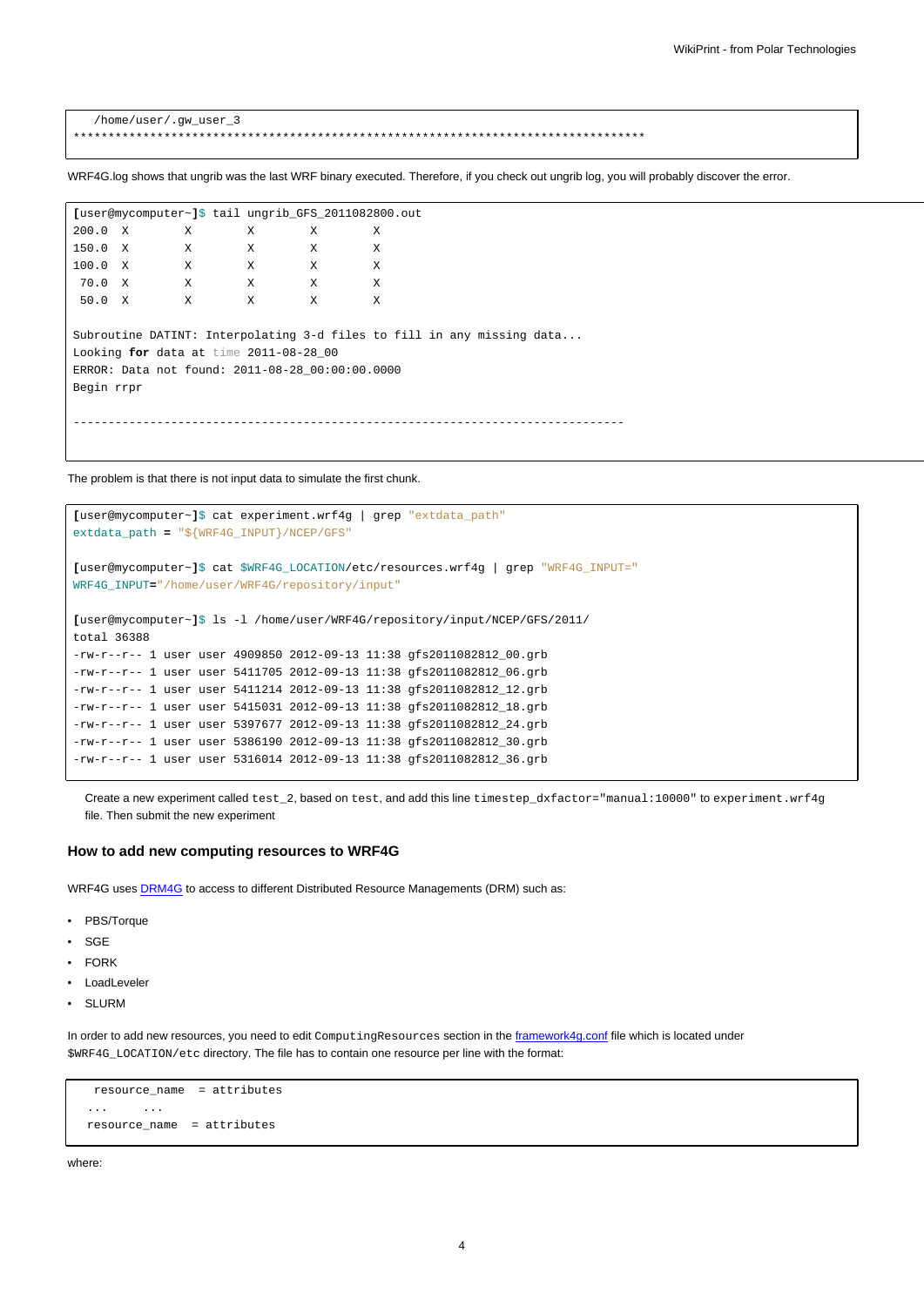/home/user/.gw\_user\_3 \*\*\*\*\*\*\*\*\*\*\*\*\*\*\*\*\*\*\*\*\*\*\*\*\*\*\*\*\*\*\*\*\*\*\*\*\*\*\*\*\*\*\*\*\*\*\*\*\*\*\*\*\*\*\*\*\*\*\*\*\*\*\*\*\*\*\*\*\*\*\*\*\*\*\*\*\*\*\*\*\*\*

WRF4G.log shows that ungrib was the last WRF binary executed. Therefore, if you check out ungrib log, you will probably discover the error.

|            |              |                                          |              | [user@mycomputer~]\$ tail ungrib GFS 2011082800.out |                                                                        |
|------------|--------------|------------------------------------------|--------------|-----------------------------------------------------|------------------------------------------------------------------------|
| 200.0 X    |              | X                                        | X            | X                                                   | X                                                                      |
| 150.0 X    |              | $\mathbf{X}$                             | X.           | X                                                   | X                                                                      |
| 100.0 X    | $\mathbf{X}$ |                                          | $\mathbf x$  | $\mathbf{X}$                                        | X                                                                      |
| 70.0 X     | $\mathbf{x}$ |                                          | $\mathbf X$  | $\mathbf{x}$                                        | $\mathbf{x}$                                                           |
| 50.0 X     |              | $\mathbf{x}$                             | $\mathbf{x}$ | X                                                   | X                                                                      |
|            |              |                                          |              |                                                     |                                                                        |
|            |              |                                          |              |                                                     | Subroutine DATINT: Interpolating 3-d files to fill in any missing data |
|            |              | Looking for data at time $2011-08-28$ 00 |              |                                                     |                                                                        |
|            |              |                                          |              | ERROR: Data not found: 2011-08-28_00:00:00.0000     |                                                                        |
| Begin rrpr |              |                                          |              |                                                     |                                                                        |
|            |              |                                          |              |                                                     |                                                                        |
|            |              |                                          |              |                                                     |                                                                        |

The problem is that there is not input data to simulate the first chunk.

```
[user@mycomputer~]$ cat experiment.wrf4g | grep "extdata_path"
extdata_path = "${WRF4G_INPUT}/NCEP/GFS"
[user@mycomputer~]$ cat $WRF4G_LOCATION/etc/resources.wrf4g | grep "WRF4G_INPUT="
WRF4G_INPUT="/home/user/WRF4G/repository/input"
[user@mycomputer~]$ ls -l /home/user/WRF4G/repository/input/NCEP/GFS/2011/
total 36388
-rw-r--r-- 1 user user 4909850 2012-09-13 11:38 gfs2011082812_00.grb
-rw-r--r-- 1 user user 5411705 2012-09-13 11:38 gfs2011082812_06.grb
-rw-r--r-- 1 user user 5411214 2012-09-13 11:38 gfs2011082812_12.grb
-rw-r--r-- 1 user user 5415031 2012-09-13 11:38 gfs2011082812_18.grb
-rw-r--r-- 1 user user 5397677 2012-09-13 11:38 gfs2011082812_24.grb
-rw-r--r-- 1 user user 5386190 2012-09-13 11:38 gfs2011082812_30.grb
-rw-r--r-- 1 user user 5316014 2012-09-13 11:38 gfs2011082812_36.grb
```
Create a new experiment called test\_2, based on test, and add this line timestep\_dxfactor="manual:10000" to experiment.wrf4g file. Then submit the new experiment

#### **How to add new computing resources to WRF4G**

WRF4G uses [DRM4G](https://meteo.unican.es/trac/wiki/DRM4G) to access to different Distributed Resource Managements (DRM) such as:

- PBS/Torque
- SGE
- FORK
- **LoadLeveler**
- SLURM

In order to add new resources, you need to edit ComputingResources section in the [framework4g.conf](https://meteo.unican.es/trac/wiki/WRF4Gframework4g_conf) file which is located under \$WRF4G\_LOCATION/etc directory. The file has to contain one resource per line with the format:

```
resource_name = attributes
... ...
resource_name = attributes
```
where: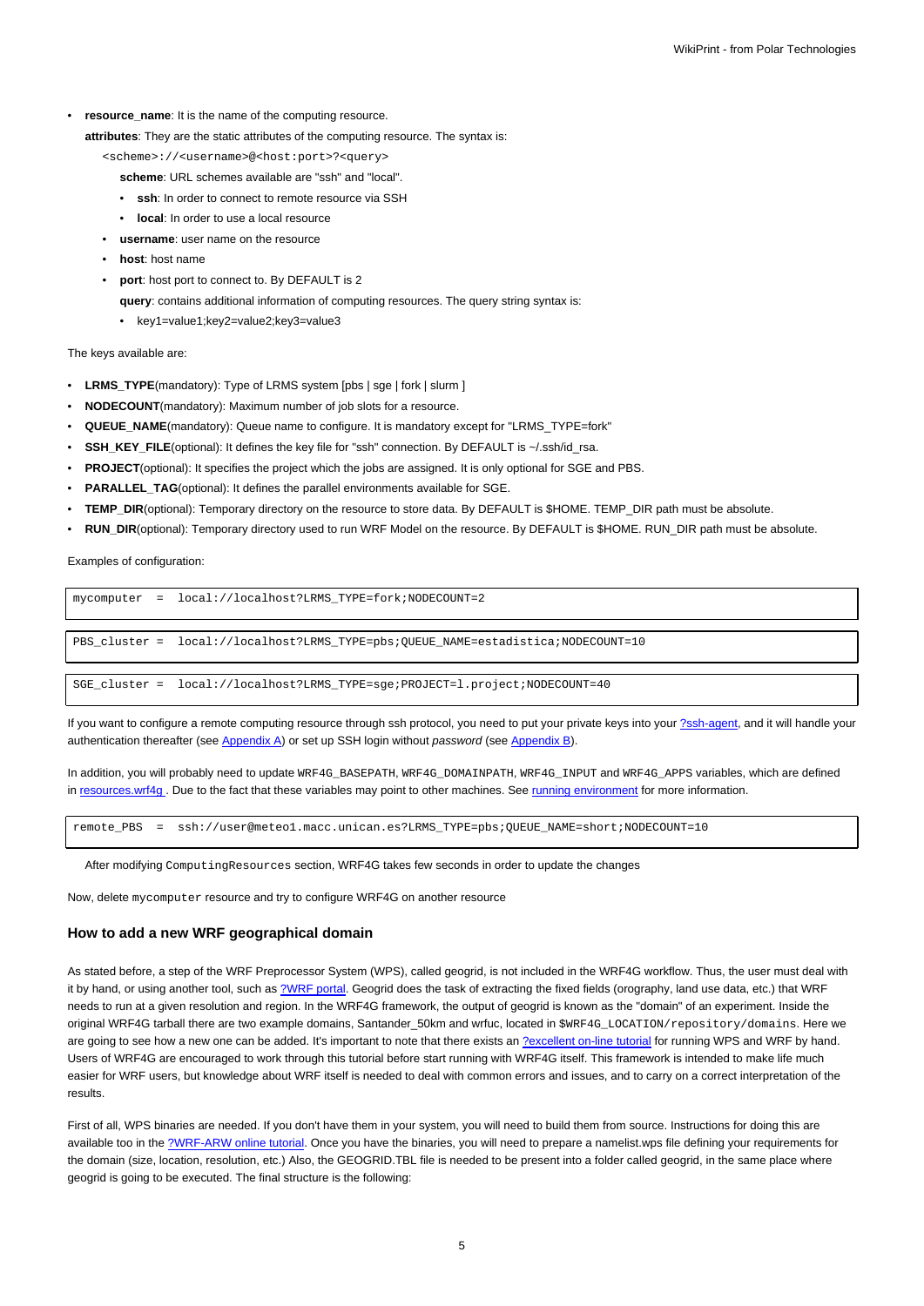• **resource\_name**: It is the name of the computing resource.

**attributes**: They are the static attributes of the computing resource. The syntax is:

- <scheme>://<username>@<host:port>?<query>
	- **scheme**: URL schemes available are "ssh" and "local".
	- **ssh**: In order to connect to remote resource via SSH
	- **local**: In order to use a local resource
- **username**: user name on the resource
- **host**: host name
- **port**: host port to connect to. By DEFAULT is 2
	- **query**: contains additional information of computing resources. The query string syntax is:
	- key1=value1;key2=value2;key3=value3

The keys available are:

- **LRMS\_TYPE**(mandatory): Type of LRMS system [pbs | sge | fork | slurm ]
- **NODECOUNT**(mandatory): Maximum number of job slots for a resource.
- **QUEUE\_NAME**(mandatory): Queue name to configure. It is mandatory except for "LRMS\_TYPE=fork"
- **SSH\_KEY\_FILE**(optional): It defines the key file for "ssh" connection. By DEFAULT is ~/.ssh/id\_rsa.
- **PROJECT**(optional): It specifies the project which the jobs are assigned. It is only optional for SGE and PBS.
- **PARALLEL TAG**(optional): It defines the parallel environments available for SGE.
- **TEMP\_DIR**(optional): Temporary directory on the resource to store data. By DEFAULT is \$HOME. TEMP\_DIR path must be absolute.
- **RUN\_DIR**(optional): Temporary directory used to run WRF Model on the resource. By DEFAULT is \$HOME. RUN\_DIR path must be absolute.

Examples of configuration:

| $\lceil$ mycomputer = $\lceil$ local://localhost?LRMS TYPE=fork;NODECOUNT=2       |
|-----------------------------------------------------------------------------------|
| PBS_cluster = local://localhost?LRMS_TYPE=pbs;QUEUE_NAME=estadistica;NODECOUNT=10 |
| SGE_cluster = local://localhost?LRMS_TYPE=sge;PROJECT=1.project;NODECOUNT=40      |

If you want to configure a remote computing resource through ssh protocol, you need to put your private keys into your [?ssh-agent](http://en.wikipedia.org/wiki/Ssh-agent), and it will handle your authentication thereafter (see [Appendix A\)](https://meteo.unican.es/trac/wiki/DRM4G#AppendixA) or set up SSH login without password (see [Appendix B\)](https://meteo.unican.es/trac/wiki/DRM4G#AppendixB).

In addition, you will probably need to update WRF4G\_BASEPATH, WRF4G\_DOMAINPATH, WRF4G\_INPUT and WRF4G\_APPS variables, which are defined in resources.wrf4g. Due to the fact that these variables may point to other machines. See [running environment](https://meteo.unican.es/trac/wiki/WRF4Gresources_wrf4g#Runningenvironment) for more information.

remote\_PBS = ssh://user@meteo1.macc.unican.es?LRMS\_TYPE=pbs;QUEUE\_NAME=short;NODECOUNT=10

After modifying ComputingResources section, WRF4G takes few seconds in order to update the changes

Now, delete mycomputer resource and try to configure WRF4G on another resource

### **How to add a new WRF geographical domain**

As stated before, a step of the WRF Preprocessor System (WPS), called geogrid, is not included in the WRF4G workflow. Thus, the user must deal with it by hand, or using another tool, such as [?WRF portal.](http://www.wrfportal.org/) Geogrid does the task of extracting the fixed fields (orography, land use data, etc.) that WRF needs to run at a given resolution and region. In the WRF4G framework, the output of geogrid is known as the "domain" of an experiment. Inside the original WRF4G tarball there are two example domains, Santander 50km and wrfuc, located in \$WRF4G\_LOCATION/repository/domains. Here we are going to see how a new one can be added. It's important to note that there exists an [?excellent on-line tutorial](http://www.mmm.ucar.edu/wrf/OnLineTutorial/index.htm) for running WPS and WRF by hand. Users of WRF4G are encouraged to work through this tutorial before start running with WRF4G itself. This framework is intended to make life much easier for WRF users, but knowledge about WRF itself is needed to deal with common errors and issues, and to carry on a correct interpretation of the results.

First of all, WPS binaries are needed. If you don't have them in your system, you will need to build them from source. Instructions for doing this are available too in the [?WRF-ARW online tutorial](http://www.mmm.ucar.edu/wrf/OnLineTutorial/Compile/index.html). Once you have the binaries, you will need to prepare a namelist.wps file defining your requirements for the domain (size, location, resolution, etc.) Also, the GEOGRID.TBL file is needed to be present into a folder called geogrid, in the same place where geogrid is going to be executed. The final structure is the following: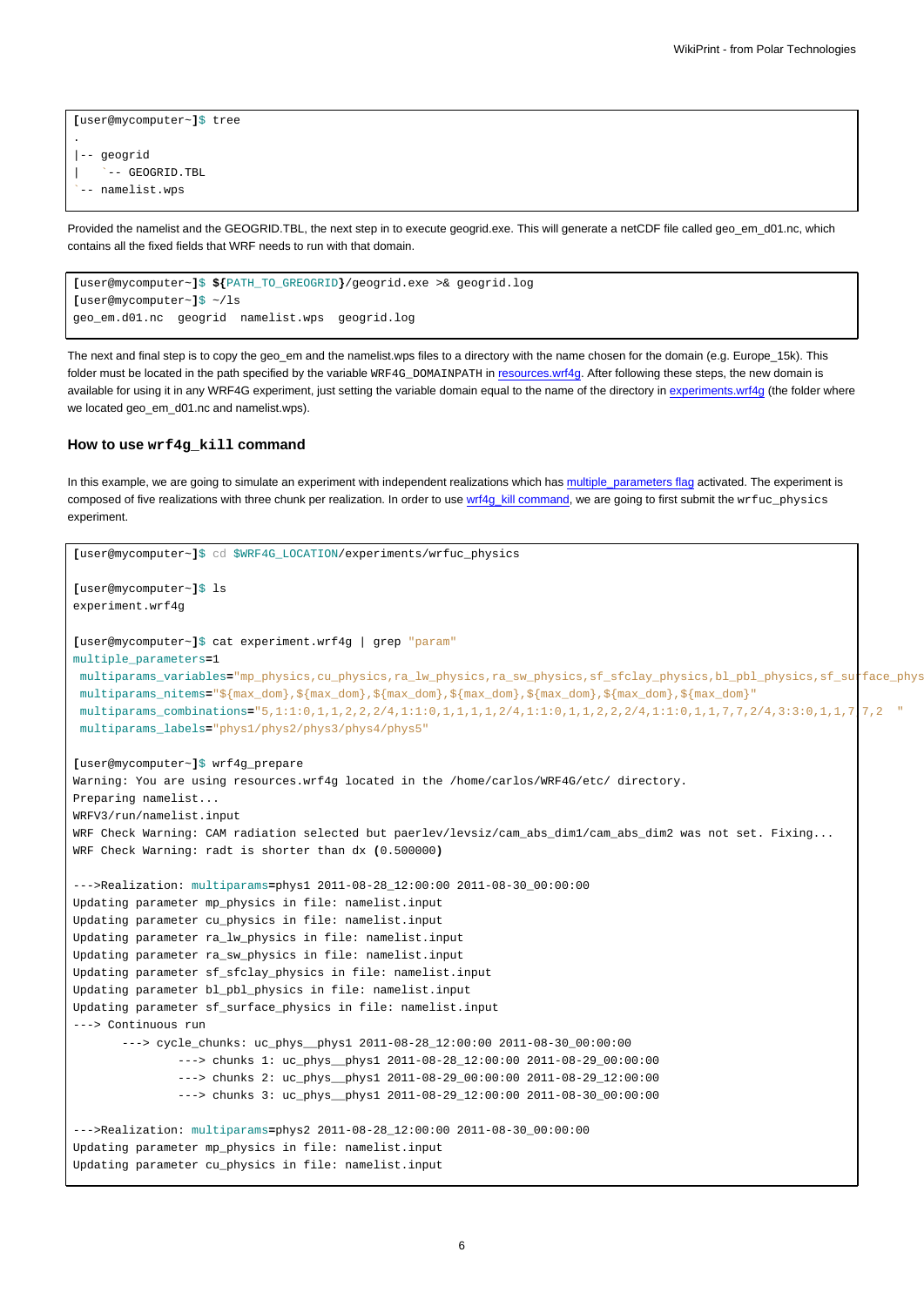```
[user@mycomputer~]$ tree
.
|-- geogrid
    | `-- GEOGRID.TBL
`-- namelist.wps
```
Provided the namelist and the GEOGRID.TBL, the next step in to execute geogrid.exe. This will generate a netCDF file called geo\_em\_d01.nc, which contains all the fixed fields that WRF needs to run with that domain.

```
[user@mycomputer~]$ ${PATH_TO_GREOGRID}/geogrid.exe >& geogrid.log
[user@mycomputer~]$ ~/ls
geo_em.d01.nc geogrid namelist.wps geogrid.log
```
The next and final step is to copy the geo\_em and the namelist.wps files to a directory with the name chosen for the domain (e.g. Europe\_15k). This folder must be located in the path specified by the variable WRF4G\_DOMAINPATH in [resources.wrf4g](https://meteo.unican.es/trac/wiki/WRF4Gresources_wrf4g). After following these steps, the new domain is available for using it in any WRF4G experiment, just setting the variable domain equal to the name of the directory in [experiments.wrf4g](https://meteo.unican.es/trac/wiki/WRF4Gexperiment_wrf4g) (the folder where we located geo\_em\_d01.nc and namelist.wps).

#### **How to use wrf4g\_kill command**

In this example, we are going to simulate an experiment with independent realizations which has [multiple\\_parameters flag](https://meteo.unican.es/trac/wiki/WRF4Gexperiment_wrf4g#Experimenttime-specification|) activated. The experiment is composed of five realizations with three chunk per realization. In order to use [wrf4g\\_kill command,](https://meteo.unican.es/trac/wiki/WRF4GCommandLineInterface#wrf4g_kill) we are going to first submit the wrfuc\_physics experiment.

```
[user@mycomputer~]$ cd $WRF4G_LOCATION/experiments/wrfuc_physics
[user@mycomputer~]$ ls
experiment.wrf4g
[user@mycomputer~]$ cat experiment.wrf4g | grep "param"
multiple_parameters=1
multiparams_variables="mp_physics,cu_physics,ra_lw_physics,ra_sw_physics,sf_sfclay_physics,bl_pbl_physics,sf_surface_physics"
multiparams_nitems="${max_dom},${max_dom},${max_dom},${max_dom},${max_dom},${max_dom},${max_dom}"
multiparams_combinations="5,1:1:0,1,1,2,2,2/4,1:1:0,1,1,1,1,2/4,1:1:0,1,1,2,2,2/4,1:1:0,1,1,7,7,2/4,3:3:0,1,1,7,7,2 "
 multiparams_labels="phys1/phys2/phys3/phys4/phys5"
[user@mycomputer~]$ wrf4g_prepare
Warning: You are using resources.wrf4g located in the /home/carlos/WRF4G/etc/ directory.
Preparing namelist...
WRFV3/run/namelist.input
WRF Check Warning: CAM radiation selected but paerlev/levsiz/cam_abs_dim1/cam_abs_dim2 was not set. Fixing...
WRF Check Warning: radt is shorter than dx (0.500000)
--->Realization: multiparams=phys1 2011-08-28_12:00:00 2011-08-30_00:00:00
Updating parameter mp_physics in file: namelist.input
Updating parameter cu_physics in file: namelist.input
Updating parameter ra_lw_physics in file: namelist.input
Updating parameter ra_sw_physics in file: namelist.input
Updating parameter sf_sfclay_physics in file: namelist.input
Updating parameter bl_pbl_physics in file: namelist.input
Updating parameter sf_surface_physics in file: namelist.input
---> Continuous run
       ---> cycle_chunks: uc_phys__phys1 2011-08-28_12:00:00 2011-08-30_00:00:00
               ---> chunks 1: uc_phys__phys1 2011-08-28_12:00:00 2011-08-29_00:00:00
               ---> chunks 2: uc_phys__phys1 2011-08-29_00:00:00 2011-08-29_12:00:00
               ---> chunks 3: uc_phys__phys1 2011-08-29_12:00:00 2011-08-30_00:00:00
--->Realization: multiparams=phys2 2011-08-28_12:00:00 2011-08-30_00:00:00
Updating parameter mp_physics in file: namelist.input
Updating parameter cu_physics in file: namelist.input
```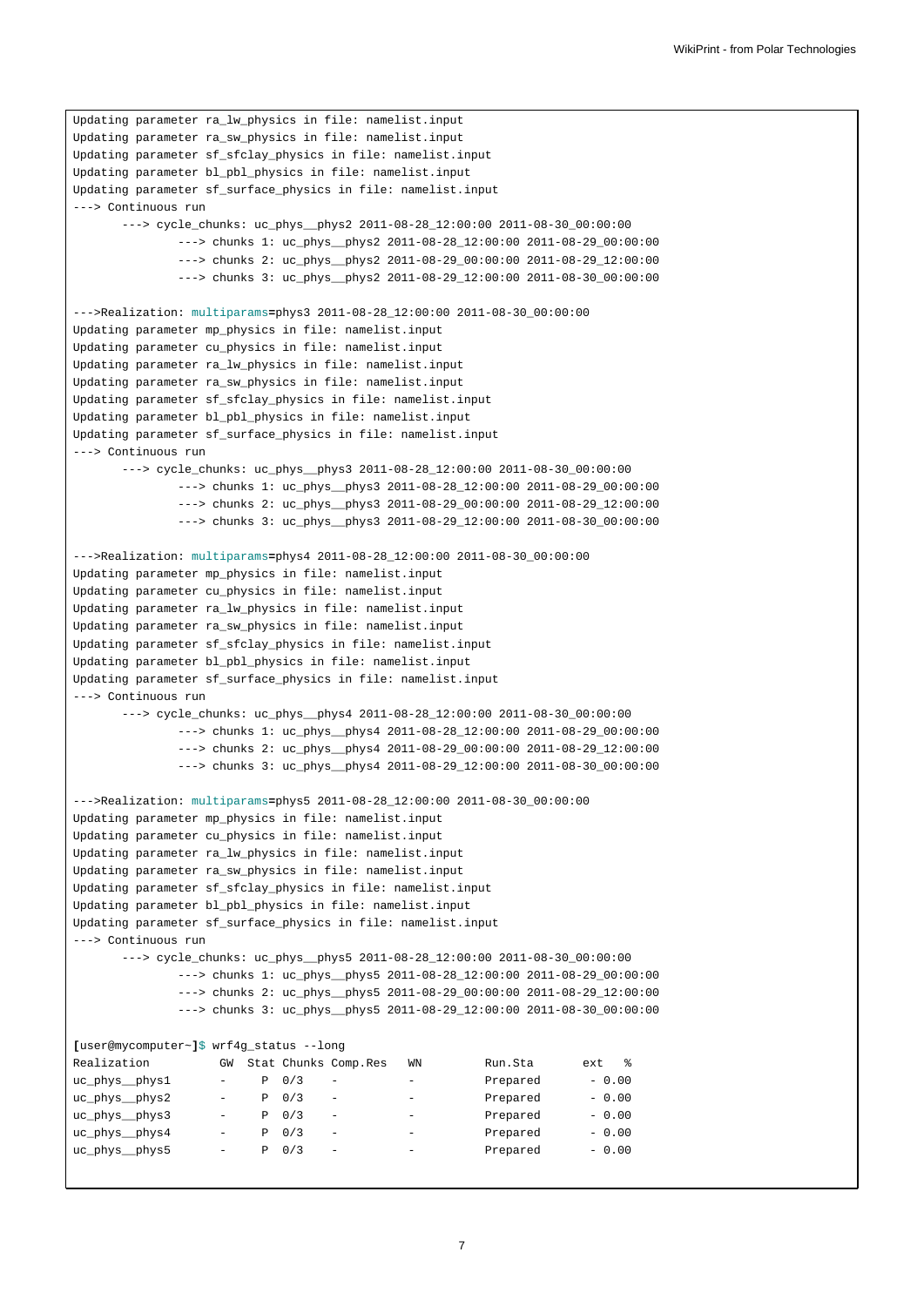```
Updating parameter ra_lw_physics in file: namelist.input
Updating parameter ra_sw_physics in file: namelist.input
Updating parameter sf_sfclay_physics in file: namelist.input
Updating parameter bl_pbl_physics in file: namelist.input
Updating parameter sf_surface_physics in file: namelist.input
---> Continuous run
      ---> cycle_chunks: uc_phys__phys2 2011-08-28_12:00:00 2011-08-30_00:00:00
              ---> chunks 1: uc_phys__phys2 2011-08-28_12:00:00 2011-08-29_00:00:00
              ---> chunks 2: uc_phys__phys2 2011-08-29_00:00:00 2011-08-29_12:00:00
              ---> chunks 3: uc_phys__phys2 2011-08-29_12:00:00 2011-08-30_00:00:00
--->Realization: multiparams=phys3 2011-08-28_12:00:00 2011-08-30_00:00:00
Updating parameter mp_physics in file: namelist.input
Updating parameter cu_physics in file: namelist.input
Updating parameter ra_lw_physics in file: namelist.input
Updating parameter ra_sw_physics in file: namelist.input
Updating parameter sf_sfclay_physics in file: namelist.input
Updating parameter bl_pbl_physics in file: namelist.input
Updating parameter sf_surface_physics in file: namelist.input
---> Continuous run
      ---> cycle_chunks: uc_phys__phys3 2011-08-28_12:00:00 2011-08-30_00:00:00
              ---> chunks 1: uc_phys__phys3 2011-08-28_12:00:00 2011-08-29_00:00:00
              ---> chunks 2: uc_phys__phys3 2011-08-29_00:00:00 2011-08-29_12:00:00
              ---> chunks 3: uc_phys__phys3 2011-08-29_12:00:00 2011-08-30_00:00:00
 --->Realization: multiparams=phys4 2011-08-28_12:00:00 2011-08-30_00:00:00
Updating parameter mp_physics in file: namelist.input
Updating parameter cu_physics in file: namelist.input
Updating parameter ra_lw_physics in file: namelist.input
Updating parameter ra_sw_physics in file: namelist.input
Updating parameter sf_sfclay_physics in file: namelist.input
Updating parameter bl_pbl_physics in file: namelist.input
Updating parameter sf_surface_physics in file: namelist.input
 ---> Continuous run
      ---> cycle_chunks: uc_phys__phys4 2011-08-28_12:00:00 2011-08-30_00:00:00
              ---> chunks 1: uc_phys__phys4 2011-08-28_12:00:00 2011-08-29_00:00:00
              ---> chunks 2: uc_phys__phys4 2011-08-29_00:00:00 2011-08-29_12:00:00
              ---> chunks 3: uc_phys__phys4 2011-08-29_12:00:00 2011-08-30_00:00:00
--->Realization: multiparams=phys5 2011-08-28_12:00:00 2011-08-30_00:00:00
Updating parameter mp_physics in file: namelist.input
Updating parameter cu_physics in file: namelist.input
Updating parameter ra_lw_physics in file: namelist.input
Updating parameter ra_sw_physics in file: namelist.input
Updating parameter sf_sfclay_physics in file: namelist.input
Updating parameter bl_pbl_physics in file: namelist.input
Updating parameter sf_surface_physics in file: namelist.input
---> Continuous run
      ---> cycle_chunks: uc_phys__phys5 2011-08-28_12:00:00 2011-08-30_00:00:00
              ---> chunks 1: uc_phys__phys5 2011-08-28_12:00:00 2011-08-29_00:00:00
              ---> chunks 2: uc_phys__phys5 2011-08-29_00:00:00 2011-08-29_12:00:00
              ---> chunks 3: uc_phys__phys5 2011-08-29_12:00:00 2011-08-30_00:00:00
[user@mycomputer~]$ wrf4g_status --long
Realization GW Stat Chunks Comp.Res WN Run.Sta ext %
uc phys phys1 - P 0/3 - - Prepared - 0.00uc phys phys2 - P 0/3 - - Prepared - 0.00
uc phys phys3 - P = 0/3 - - Prepared - 0.00
uc phys phys4 - P 0/3 - - Prepared - 0.00
uc phys phys5 - P 0/3 - - Prepared - 0.00
```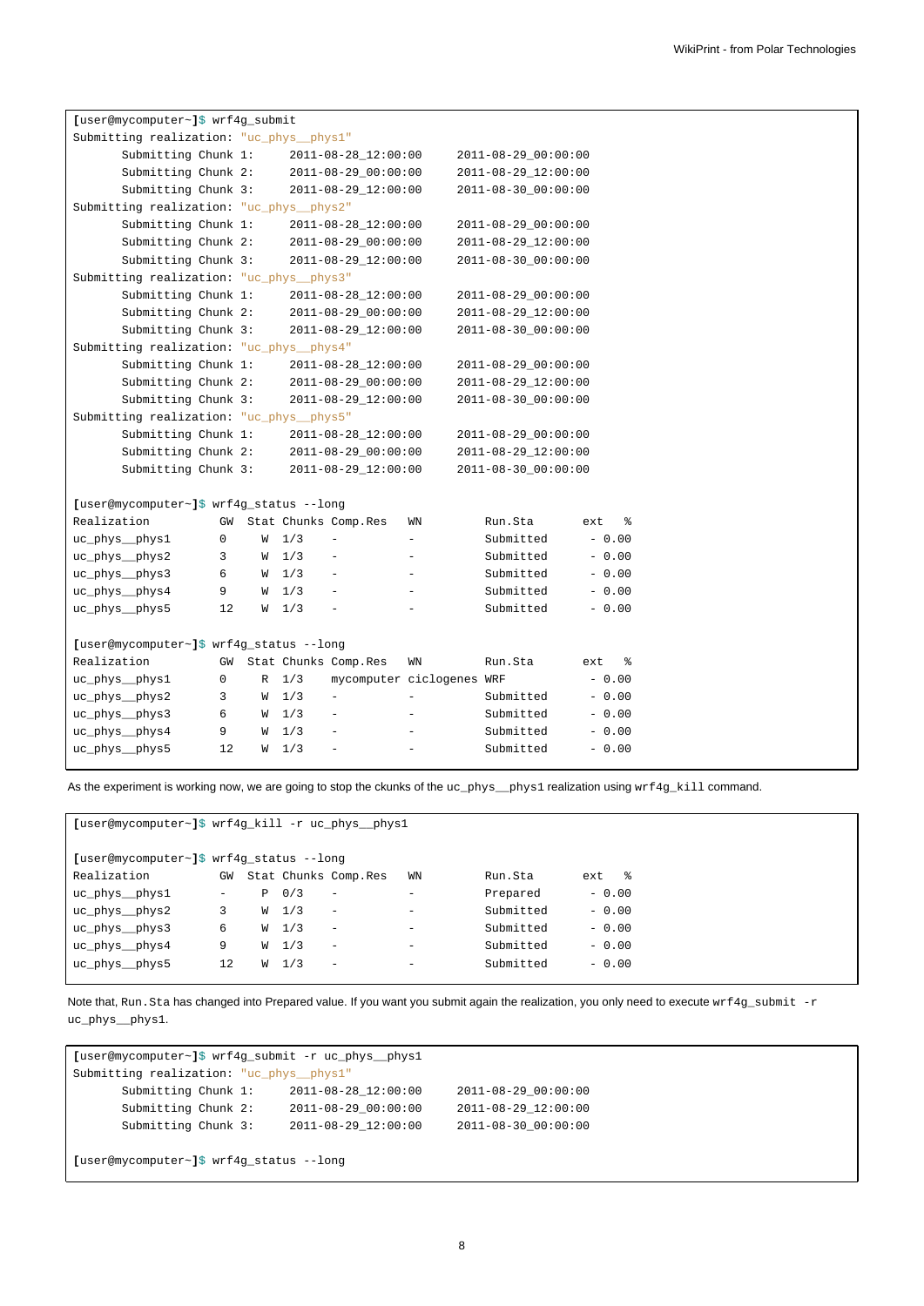| [user@mycomputer~]\$ wrf4g_submit        |             |   |                  |                             |    |                             |     |                          |  |  |
|------------------------------------------|-------------|---|------------------|-----------------------------|----|-----------------------------|-----|--------------------------|--|--|
| Submitting realization: "uc_phys_phys1"  |             |   |                  |                             |    |                             |     |                          |  |  |
| Submitting Chunk 1:                      |             |   |                  | 2011-08-28_12:00:00         |    | 2011-08-29_00:00:00         |     |                          |  |  |
| Submitting Chunk 2:                      |             |   |                  | 2011-08-29_00:00:00         |    | 2011-08-29 12:00:00         |     |                          |  |  |
| Submitting Chunk 3:                      |             |   |                  | 2011-08-29_12:00:00         |    | $2011 - 08 - 30 - 00:00:00$ |     |                          |  |  |
| Submitting realization: "uc_phys_phys2"  |             |   |                  |                             |    |                             |     |                          |  |  |
| Submitting Chunk 1:                      |             |   |                  | 2011-08-28_12:00:00         |    | 2011-08-29_00:00:00         |     |                          |  |  |
| Submitting Chunk 2:                      |             |   |                  | $2011 - 08 - 29 - 00:00:00$ |    | 2011-08-29_12:00:00         |     |                          |  |  |
| Submitting Chunk 3:                      |             |   |                  | 2011-08-29_12:00:00         |    | 2011-08-30_00:00:00         |     |                          |  |  |
| Submitting realization: "uc_phys_phys3"  |             |   |                  |                             |    |                             |     |                          |  |  |
| Submitting Chunk 1:                      |             |   |                  | 2011-08-28 12:00:00         |    | 2011-08-29 00:00:00         |     |                          |  |  |
| Submitting Chunk 2:                      |             |   |                  | 2011-08-29_00:00:00         |    | 2011-08-29_12:00:00         |     |                          |  |  |
| Submitting Chunk 3:                      |             |   |                  | 2011-08-29_12:00:00         |    | 2011-08-30_00:00:00         |     |                          |  |  |
| Submitting realization: "uc_phys_phys4"  |             |   |                  |                             |    |                             |     |                          |  |  |
| Submitting Chunk 1:                      |             |   |                  | 2011-08-28_12:00:00         |    | $2011 - 08 - 29 - 00:00:00$ |     |                          |  |  |
| Submitting Chunk 2:                      |             |   |                  | 2011-08-29_00:00:00         |    | 2011-08-29_12:00:00         |     |                          |  |  |
| Submitting Chunk 3:                      |             |   |                  | 2011-08-29_12:00:00         |    | 2011-08-30_00:00:00         |     |                          |  |  |
| Submitting realization: "uc_phys_phys5"  |             |   |                  |                             |    |                             |     |                          |  |  |
| Submitting Chunk 1:                      |             |   |                  | 2011-08-28_12:00:00         |    | 2011-08-29_00:00:00         |     |                          |  |  |
| Submitting Chunk 2:                      |             |   |                  | 2011-08-29_00:00:00         |    | 2011-08-29 12:00:00         |     |                          |  |  |
| Submitting Chunk 3:                      |             |   |                  | 2011-08-29_12:00:00         |    | $2011 - 08 - 30 - 00:00:00$ |     |                          |  |  |
|                                          |             |   |                  |                             |    |                             |     |                          |  |  |
| [user@mycomputer~]\$ wrf4g_status --long |             |   |                  |                             |    |                             |     |                          |  |  |
| Realization                              |             |   |                  | GW Stat Chunks Comp.Res     | WN | Run.Sta                     | ext | $\,{}^{\circ}_{\circ}\,$ |  |  |
| uc_phys__phys1                           | $\mathbf 0$ | W | 1/3              | $\equiv$                    |    | Submitted                   |     | $-0.00$                  |  |  |
| uc_phys__phys2                           | 3           | W | 1/3              |                             |    | Submitted                   |     | $-0.00$                  |  |  |
| uc_phys_phys3                            | 6           | W | 1/3              |                             |    | Submitted                   |     | $-0.00$                  |  |  |
| uc_phys__phys4                           | 9           | W | 1/3              |                             |    | Submitted                   |     | $-0.00$                  |  |  |
| uc_phys__phys5                           | 12          | W | 1/3              |                             |    | Submitted                   |     | $-0.00$                  |  |  |
|                                          |             |   |                  |                             |    |                             |     |                          |  |  |
| [user@mycomputer~]\$ wrf4g_status --long |             |   |                  |                             |    |                             |     |                          |  |  |
| Realization                              |             |   |                  | GW Stat Chunks Comp.Res     | WN | Run.Sta                     | ext | ഀ                        |  |  |
| uc_phys__phys1                           | $\mathbf 0$ |   | $R$ 1/3          | mycomputer ciclogenes WRF   |    |                             |     | $-0.00$                  |  |  |
| uc_phys_phys2                            | 3           |   | W <sub>1/3</sub> | $\overline{\phantom{a}}$    |    | Submitted                   |     | $-0.00$                  |  |  |
| uc_phys__phys3                           | 6           |   | W <sub>1/3</sub> | $\overline{\phantom{a}}$    |    | Submitted                   |     | $-0.00$                  |  |  |
| uc_phys_phys4                            | 9           | W | 1/3              |                             |    | Submitted                   |     | $-0.00$                  |  |  |
| uc_phys_phys5                            | 12          | W | 1/3              |                             |    | Submitted                   |     | $-0.00$                  |  |  |
|                                          |             |   |                  |                             |    |                             |     |                          |  |  |

As the experiment is working now, we are going to stop the ckunks of the uc\_phys\_phys1 realization using wrf4g\_kill command.

**[**user@mycomputer~**]**\$ wrf4g\_kill -r uc\_phys\_\_phys1 **[**user@mycomputer~**]**\$ wrf4g\_status --long Realization GW Stat Chunks Comp.Res WN Run.Sta ext % uc\_phys\_\_phys1 - P 0/3 - - Prepared - 0.00 uc\_phys\_\_phys2 3 W 1/3 - - Submitted - 0.00 uc\_phys\_phys3 6 W  $1/3$  - - Submitted - 0.00 uc\_phys\_phys4 9 W  $1/3$  - - Submitted - 0.00 uc\_phys\_phys5  $12$  W  $1/3$  - - Submitted - 0.00

Note that, Run.Sta has changed into Prepared value. If you want you submit again the realization, you only need to execute wrf4g\_submit -r uc\_phys\_\_phys1.

```
[user@mycomputer~]$ wrf4g_submit -r uc_phys__phys1
Submitting realization: "uc_phys__phys1"
      Submitting Chunk 1: 2011-08-28_12:00:00 2011-08-29_00:00:00
      Submitting Chunk 2: 2011-08-29_00:00:00 2011-08-29_12:00:00
      Submitting Chunk 3: 2011-08-29_12:00:00 2011-08-30_00:00:00
[user@mycomputer~]$ wrf4g_status --long
```